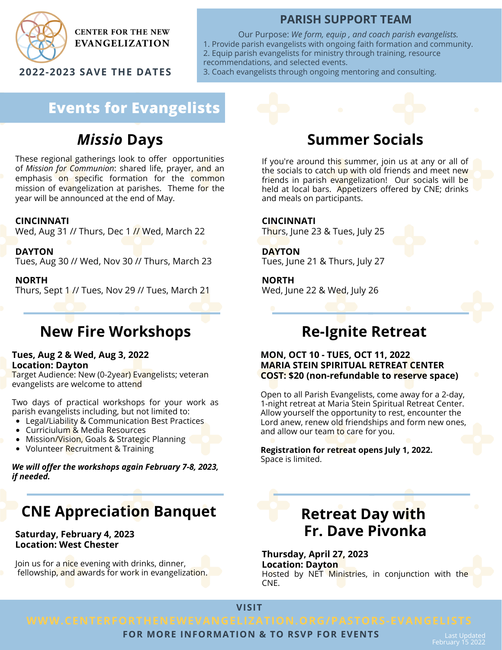

**CENTER FOR THE NEW EVANGELIZATION** 

**2022-2023 SAVE THE DATES**

## **PARISH SUPPORT TEAM**

Our Purpose: *We form, equip , and coach parish evangelists.* 1. Provide parish evangelists with ongoing faith formation and community. 2. Equip parish evangelists for ministry through training, resource recommendations, and selected events.

3. Coach evangelists through ongoing mentoring and consulting.

# **Events for Evangelists**

# *Missio* **Days**

These regional gatherings look to offer opportunities of *Mission for Communion*: shared life, prayer, and an emphasis on specific formation for the common mission of evangelization at parishes. Theme for the year will be announced at the end of May.

### **CINCINNATI**

Wed, Aug 31 // Thurs, Dec 1 // Wed, March 22

**DAYTON**

Tues, Aug 30 // Wed, Nov 30 // Thurs, March 23

**NORTH**

Thurs, Sept 1 // Tues, Nov 29 // Tues, March 21

# **New Fire Workshops**

### **Tues, Aug 2 & Wed, Aug 3, 2022 Location: Dayton**

Target Audience: New (0-2year) Evangelists; veteran evangelists are welcome to attend

Two days of practical workshops for your work as parish evangelists including, but not limited to:

- Legal/Liability & Communication Best Practices
- Curriciulum & Media Resources
- Mission/Vision, Goals & Strategic Planning
- Volunteer Recruitment & Training

*We will offer the workshops again February 7-8, 2023, if needed.*

# **CNE Appreciation Banquet**

### **Saturday, February 4, 2023 Location: West Chester**

Join us for a nice evening with drinks, dinner, fellowship, and awards for work in evangelization.

# **Summer Socials**

If you're around this summer, join us at any or all of the socials to catch up with old friends and meet new friends in parish evangelization! Our socials will be held at local bars. Appetizers offered by CNE; drinks and meals on participants.

### **CINCINNATI**

Thurs, June 23 & Tues, July 25

**DAYTON**

Tues, June 21 & Thurs, July 27

**NORTH**

Wed, June 22 & Wed, July 26

# **Re-Ignite Retreat**

### **MON, OCT 10 - TUES, OCT 11, 2022 MARIA STEIN SPIRITUAL RETREAT CENTER COST: \$20 (non-refundable to reserve space)**

Open to all Parish Evangelists, come away for a 2-day, 1-night retreat at Maria Stein Spiritual Retreat Center. Allow yourself the opportunity to rest, encounter the Lord anew, renew old friendships and form new ones, and allow our team to care for you.

**Registration for retreat opens July 1, 2022.** Space is limited.

# **Retreat Day with Fr. Dave Pivonka**

**Thursday, April 27, 2023 Location: Dayton** Hosted by NET Ministries, in conjunction with the CNE.

**VISIT**

### **FOR MORE INFORMATION & TO RSVP FOR EVENTS**

Last Updated February 15 2022